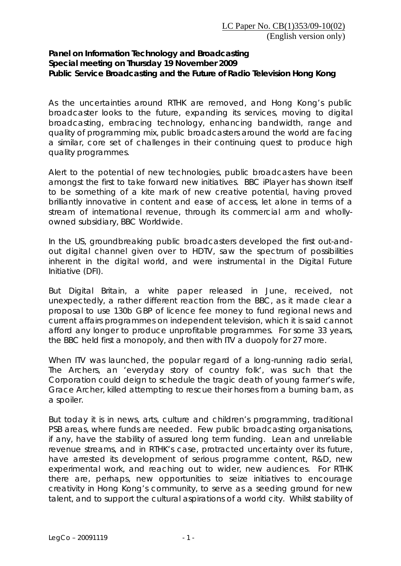## **Panel on Information Technology and Broadcasting Special meeting on Thursday 19 November 2009 Public Service Broadcasting and the Future of Radio Television Hong Kong**

As the uncertainties around RTHK are removed, and Hong Kong's public broadcaster looks to the future, expanding its services, moving to digital broadcasting, embracing technology, enhancing bandwidth, range and quality of programming mix, public broadcasters around the world are facing a similar, core set of challenges in their continuing quest to produce high quality programmes.

Alert to the potential of new technologies, public broadcasters have been amongst the first to take forward new initiatives. BBC iPlayer has shown itself to be something of a kite mark of new creative potential, having proved brilliantly innovative in content and ease of access, let alone in terms of a stream of international revenue, through its commercial arm and whollyowned subsidiary, BBC Worldwide.

In the US, groundbreaking public broadcasters developed the first out-andout digital channel given over to HDTV, saw the spectrum of possibilities inherent in the digital world, and were instrumental in the Digital Future Initiative (DFI).

But Digital Britain, a white paper released in June, received, not unexpectedly, a rather different reaction from the BBC, as it made clear a proposal to use 130b GBP of licence fee money to fund regional news and current affairs programmes on independent television, which it is said cannot afford any longer to produce unprofitable programmes. For some 33 years, the BBC held first a monopoly, and then with ITV a duopoly for 27 more.

When ITV was launched, the popular regard of a long-running radio serial, The Archers, an 'everyday story of country folk', was such that the Corporation could deign to schedule the tragic death of young farmer's wife, Grace Archer, killed attempting to rescue their horses from a burning barn, as a spoiler.

But today it is in news, arts, culture and children's programming, traditional PSB areas, where funds are needed. Few public broadcasting organisations, if any, have the stability of assured long term funding. Lean and unreliable revenue streams, and in RTHK's case, protracted uncertainty over its future, have arrested its development of serious programme content, R&D, new experimental work, and reaching out to wider, new audiences. For RTHK there are, perhaps, new opportunities to seize initiatives to encourage creativity in Hong Kong's community, to serve as a seeding ground for new talent, and to support the cultural aspirations of a world city. Whilst stability of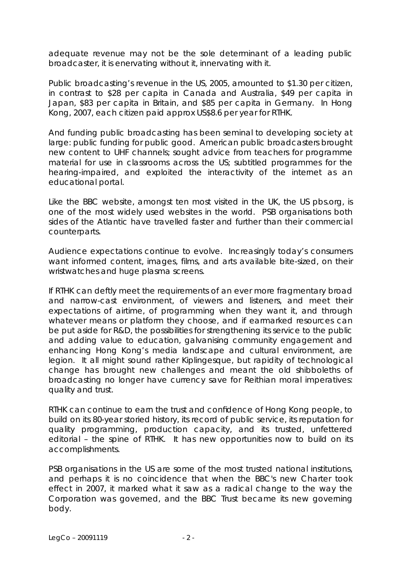adequate revenue may not be the sole determinant of a leading public broadcaster, it is enervating without it, innervating with it.

Public broadcasting's revenue in the US, 2005, amounted to \$1.30 per citizen, in contrast to \$28 per capita in Canada and Australia, \$49 per capita in Japan, \$83 per capita in Britain, and \$85 per capita in Germany. In Hong Kong, 2007, each citizen paid approx US\$8.6 per year for RTHK.

And funding public broadcasting has been seminal to developing society at large: public funding for public good. American public broadcasters brought new content to UHF channels; sought advice from teachers for programme material for use in classrooms across the US; subtitled programmes for the hearing-impaired, and exploited the interactivity of the internet as an educational portal.

Like the BBC website, amongst ten most visited in the UK, the US pbs.org, is one of the most widely used websites in the world. PSB organisations both sides of the Atlantic have travelled faster and further than their commercial counterparts.

Audience expectations continue to evolve. Increasingly today's consumers want informed content, images, films, and arts available bite-sized, on their wristwatches and huge plasma screens.

If RTHK can deftly meet the requirements of an ever more fragmentary broad and narrow-cast environment, of viewers and listeners, and meet their expectations of airtime, of programming when they want it, and through whatever means or platform they choose, and if earmarked resources can be put aside for R&D, the possibilities for strengthening its service to the public and adding value to education, galvanising community engagement and enhancing Hong Kong's media landscape and cultural environment, are legion. It all might sound rather Kiplingesque, but rapidity of technological change has brought new challenges and meant the old shibboleths of broadcasting no longer have currency save for Reithian moral imperatives: quality and trust.

RTHK can continue to earn the trust and confidence of Hong Kong people, to build on its 80-year storied history, its record of public service, its reputation for quality programming, production capacity, and its trusted, unfettered editorial – the spine of RTHK. It has new opportunities now to build on its accomplishments.

PSB organisations in the US are some of the most trusted national institutions, and perhaps it is no coincidence that when the BBC's new Charter took effect in 2007, it marked what it saw as a radical change to the way the Corporation was governed, and the BBC Trust became its new governing body.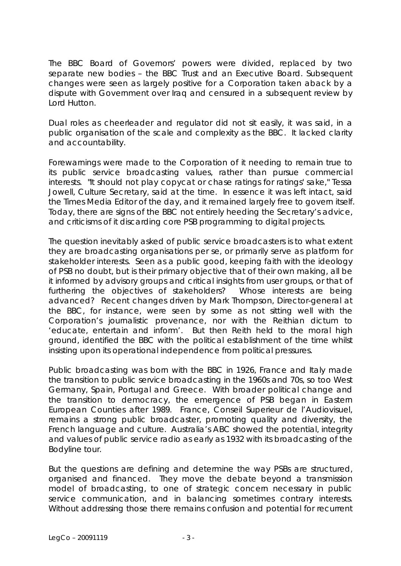The BBC Board of Governors' powers were divided, replaced by two separate new bodies – the BBC Trust and an Executive Board. Subsequent changes were seen as largely positive for a Corporation taken aback by a dispute with Government over Iraq and censured in a subsequent review by Lord Hutton.

Dual roles as cheerleader and regulator did not sit easily, it was said, in a public organisation of the scale and complexity as the BBC. It lacked clarity and accountability.

Forewarnings were made to the Corporation of it needing to remain true to its public service broadcasting values, rather than pursue commercial interests. "It should not play copycat or chase ratings for ratings' sake," Tessa Jowell, Culture Secretary, said at the time. In essence it was left intact, said the Times Media Editor of the day, and it remained largely free to govern itself. Today, there are signs of the BBC not entirely heeding the Secretary's advice, and criticisms of it discarding core PSB programming to digital projects.

The question inevitably asked of public service broadcasters is to what extent they are broadcasting organisations per se, or primarily serve as platform for stakeholder interests. Seen as a public good, keeping faith with the ideology of PSB no doubt, but is their primary objective that of their own making, all be it informed by advisory groups and critical insights from user groups, or that of furthering the objectives of stakeholders? Whose interests are being advanced? Recent changes driven by Mark Thompson, Director-general at the BBC, for instance, were seen by some as not sitting well with the Corporation's journalistic provenance, nor with the Reithian dictum to 'educate, entertain and inform'. But then Reith held to the moral high ground, identified the BBC with the political establishment of the time whilst insisting upon its operational independence from political pressures.

Public broadcasting was born with the BBC in 1926, France and Italy made the transition to public service broadcasting in the 1960s and 70s, so too West Germany, Spain, Portugal and Greece. With broader political change and the transition to democracy, the emergence of PSB began in Eastern European Counties after 1989. France, Conseil Superieur de l'Audiovisuel, remains a strong public broadcaster, promoting quality and diversity, the French language and culture. Australia's ABC showed the potential, integrity and values of public service radio as early as 1932 with its broadcasting of the Bodyline tour.

But the questions are defining and determine the way PSBs are structured, organised and financed. They move the debate beyond a transmission model of broadcasting, to one of strategic concern necessary in public service communication, and in balancing sometimes contrary interests. Without addressing those there remains confusion and potential for recurrent